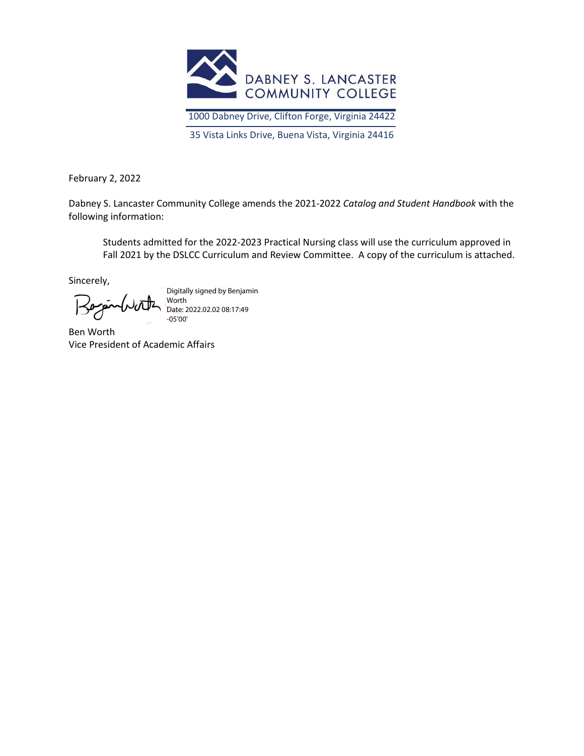

1000 Dabney Drive, Clifton Forge, Virginia 24422

35 Vista Links Drive, Buena Vista, Virginia 24416

February 2, 2022

Dabney S. Lancaster Community College amends the 2021-2022 *Catalog and Student Handbook* with the following information:

Students admitted for the 2022-2023 Practical Nursing class will use the curriculum approved in Fall 2021 by the DSLCC Curriculum and Review Committee. A copy of the curriculum is attached.

Sincerely,

Digitally signed by Benjamin Worth Date: 2022.02.02 08:17:49 -05'00'

Ben Worth Vice President of Academic Affairs